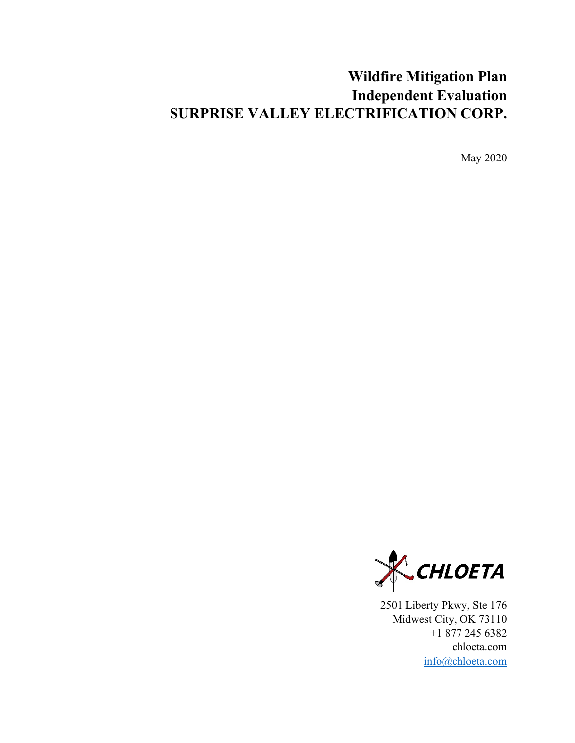# **Wildfire Mitigation Plan Independent Evaluation SURPRISE VALLEY ELECTRIFICATION CORP.**

May 2020



2501 Liberty Pkwy, Ste 176 Midwest City, OK 73110 +1 877 245 6382 chloeta.com [info@chloeta.com](mailto:info@chloeta.com)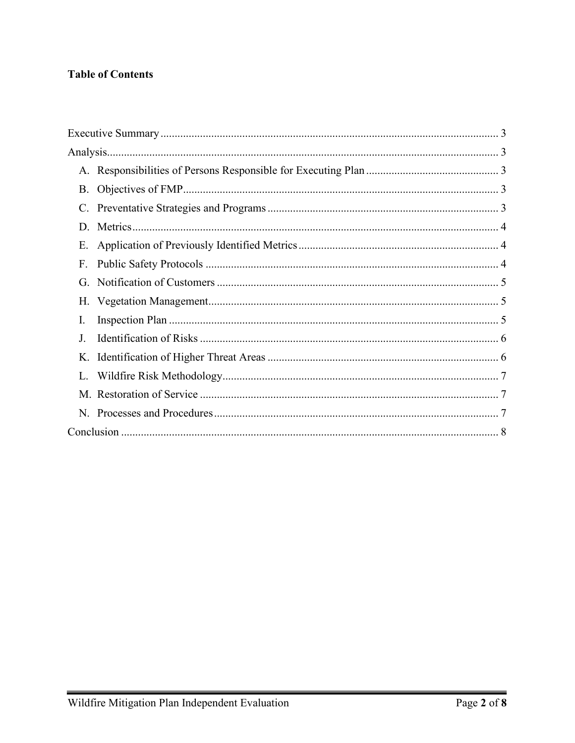## **Table of Contents**

| В.          |  |
|-------------|--|
| C.          |  |
| $D_{\rm c}$ |  |
| Е.          |  |
| F.          |  |
| G.          |  |
|             |  |
| I.          |  |
| J.          |  |
| Κ.          |  |
|             |  |
|             |  |
|             |  |
|             |  |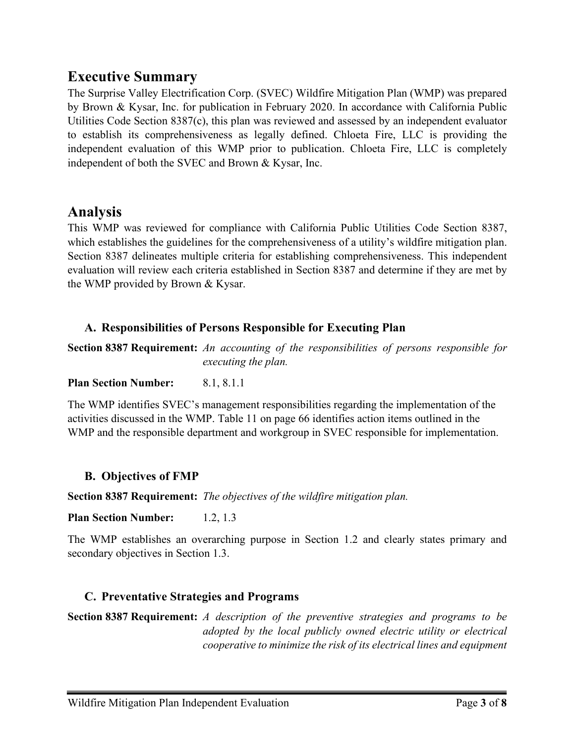# <span id="page-2-0"></span>**Executive Summary**

The Surprise Valley Electrification Corp. (SVEC) Wildfire Mitigation Plan (WMP) was prepared by Brown & Kysar, Inc. for publication in February 2020. In accordance with California Public Utilities Code Section 8387(c), this plan was reviewed and assessed by an independent evaluator to establish its comprehensiveness as legally defined. Chloeta Fire, LLC is providing the independent evaluation of this WMP prior to publication. Chloeta Fire, LLC is completely independent of both the SVEC and Brown & Kysar, Inc.

## <span id="page-2-1"></span>**Analysis**

This WMP was reviewed for compliance with California Public Utilities Code Section 8387, which establishes the guidelines for the comprehensiveness of a utility's wildfire mitigation plan. Section 8387 delineates multiple criteria for establishing comprehensiveness. This independent evaluation will review each criteria established in Section 8387 and determine if they are met by the WMP provided by Brown & Kysar.

## <span id="page-2-2"></span>**A. Responsibilities of Persons Responsible for Executing Plan**

**Section 8387 Requirement:** *An accounting of the responsibilities of persons responsible for executing the plan.*

**Plan Section Number:** 8.1, 8.1.1

The WMP identifies SVEC's management responsibilities regarding the implementation of the activities discussed in the WMP. Table 11 on page 66 identifies action items outlined in the WMP and the responsible department and workgroup in SVEC responsible for implementation.

## <span id="page-2-3"></span>**B. Objectives of FMP**

**Section 8387 Requirement:** *The objectives of the wildfire mitigation plan.*

**Plan Section Number:** 1.2, 1.3

The WMP establishes an overarching purpose in Section 1.2 and clearly states primary and secondary objectives in Section 1.3.

## <span id="page-2-4"></span>**C. Preventative Strategies and Programs**

**Section 8387 Requirement:** *A description of the preventive strategies and programs to be adopted by the local publicly owned electric utility or electrical cooperative to minimize the risk of its electrical lines and equipment*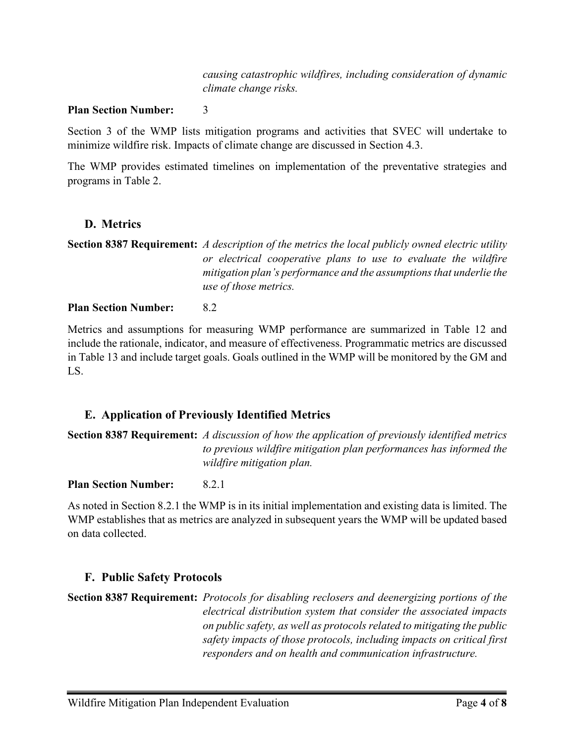*causing catastrophic wildfires, including consideration of dynamic climate change risks.*

#### **Plan Section Number:** 3

Section 3 of the WMP lists mitigation programs and activities that SVEC will undertake to minimize wildfire risk. Impacts of climate change are discussed in Section 4.3.

The WMP provides estimated timelines on implementation of the preventative strategies and programs in Table 2.

## <span id="page-3-0"></span>**D. Metrics**

```
Section 8387 Requirement: A description of the metrics the local publicly owned electric utility 
                 or electrical cooperative plans to use to evaluate the wildfire 
                 mitigation plan's performance and the assumptions that underlie the 
                  use of those metrics.
```
#### **Plan Section Number:** 8.2

Metrics and assumptions for measuring WMP performance are summarized in Table 12 and include the rationale, indicator, and measure of effectiveness. Programmatic metrics are discussed in Table 13 and include target goals. Goals outlined in the WMP will be monitored by the GM and LS.

## <span id="page-3-1"></span>**E. Application of Previously Identified Metrics**

**Section 8387 Requirement:** *A discussion of how the application of previously identified metrics to previous wildfire mitigation plan performances has informed the wildfire mitigation plan.*

#### **Plan Section Number:** 8.2.1

As noted in Section 8.2.1 the WMP is in its initial implementation and existing data is limited. The WMP establishes that as metrics are analyzed in subsequent years the WMP will be updated based on data collected.

#### <span id="page-3-2"></span>**F. Public Safety Protocols**

**Section 8387 Requirement:** *Protocols for disabling reclosers and deenergizing portions of the electrical distribution system that consider the associated impacts on public safety, as well as protocols related to mitigating the public safety impacts of those protocols, including impacts on critical first responders and on health and communication infrastructure.*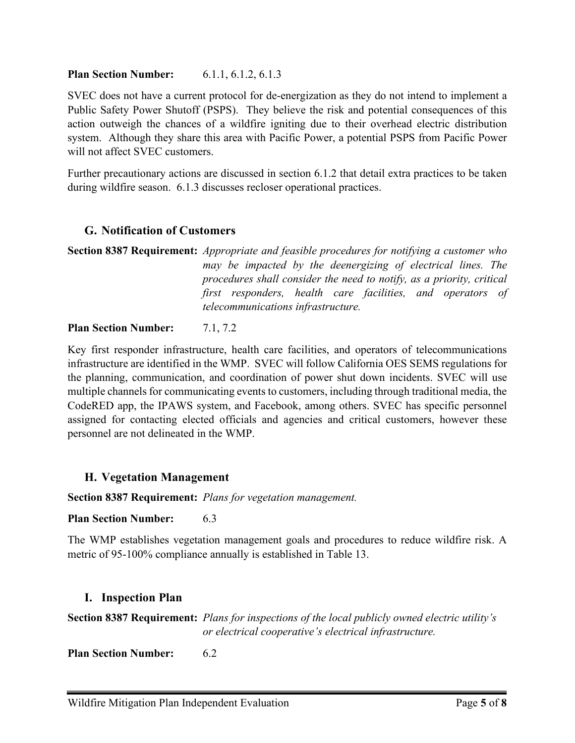#### **Plan Section Number:** 6.1.1, 6.1.2, 6.1.3

SVEC does not have a current protocol for de-energization as they do not intend to implement a Public Safety Power Shutoff (PSPS). They believe the risk and potential consequences of this action outweigh the chances of a wildfire igniting due to their overhead electric distribution system. Although they share this area with Pacific Power, a potential PSPS from Pacific Power will not affect SVEC customers.

Further precautionary actions are discussed in section 6.1.2 that detail extra practices to be taken during wildfire season. 6.1.3 discusses recloser operational practices.

## <span id="page-4-0"></span>**G. Notification of Customers**

**Section 8387 Requirement:** *Appropriate and feasible procedures for notifying a customer who may be impacted by the deenergizing of electrical lines. The procedures shall consider the need to notify, as a priority, critical first responders, health care facilities, and operators of telecommunications infrastructure.*

#### **Plan Section Number:** 7.1, 7.2

Key first responder infrastructure, health care facilities, and operators of telecommunications infrastructure are identified in the WMP. SVEC will follow California OES SEMS regulations for the planning, communication, and coordination of power shut down incidents. SVEC will use multiple channels for communicating events to customers, including through traditional media, the CodeRED app, the IPAWS system, and Facebook, among others. SVEC has specific personnel assigned for contacting elected officials and agencies and critical customers, however these personnel are not delineated in the WMP.

## <span id="page-4-1"></span>**H. Vegetation Management**

**Section 8387 Requirement:** *Plans for vegetation management.*

**Plan Section Number:** 6.3

The WMP establishes vegetation management goals and procedures to reduce wildfire risk. A metric of 95-100% compliance annually is established in Table 13.

#### <span id="page-4-2"></span>**I. Inspection Plan**

**Section 8387 Requirement:** *Plans for inspections of the local publicly owned electric utility's or electrical cooperative's electrical infrastructure.*

**Plan Section Number:** 6.2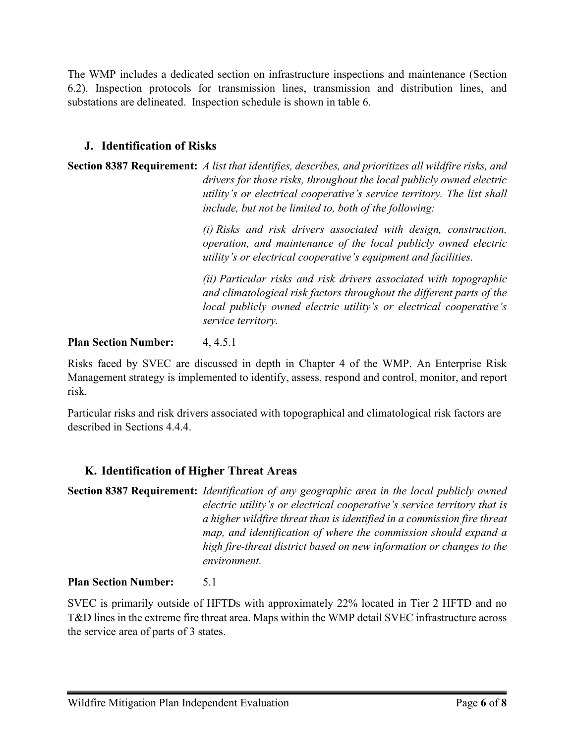The WMP includes a dedicated section on infrastructure inspections and maintenance (Section 6.2). Inspection protocols for transmission lines, transmission and distribution lines, and substations are delineated. Inspection schedule is shown in table 6.

## <span id="page-5-0"></span>**J. Identification of Risks**

**Section 8387 Requirement:** *A list that identifies, describes, and prioritizes all wildfire risks, and drivers for those risks, throughout the local publicly owned electric utility's or electrical cooperative's service territory. The list shall include, but not be limited to, both of the following:*

> *(i) Risks and risk drivers associated with design, construction, operation, and maintenance of the local publicly owned electric utility's or electrical cooperative's equipment and facilities.*

> *(ii) Particular risks and risk drivers associated with topographic and climatological risk factors throughout the different parts of the local publicly owned electric utility's or electrical cooperative's service territory.*

## **Plan Section Number:** 4, 4.5.1

Risks faced by SVEC are discussed in depth in Chapter 4 of the WMP. An Enterprise Risk Management strategy is implemented to identify, assess, respond and control, monitor, and report risk.

Particular risks and risk drivers associated with topographical and climatological risk factors are described in Sections 4.4.4.

## <span id="page-5-1"></span>**K. Identification of Higher Threat Areas**

**Section 8387 Requirement:** *Identification of any geographic area in the local publicly owned electric utility's or electrical cooperative's service territory that is a higher wildfire threat than is identified in a commission fire threat map, and identification of where the commission should expand a high fire-threat district based on new information or changes to the environment.*

## **Plan Section Number:** 5.1

SVEC is primarily outside of HFTDs with approximately 22% located in Tier 2 HFTD and no T&D lines in the extreme fire threat area. Maps within the WMP detail SVEC infrastructure across the service area of parts of 3 states.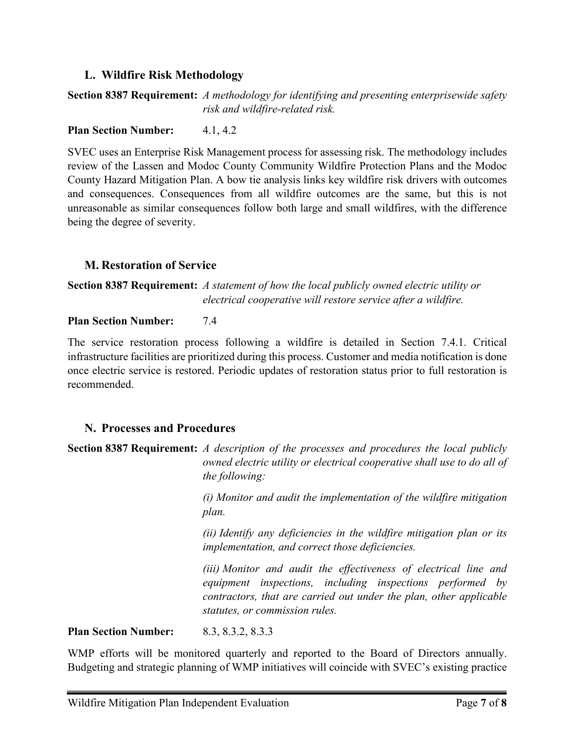## <span id="page-6-0"></span>**L. Wildfire Risk Methodology**

## **Section 8387 Requirement:** *A methodology for identifying and presenting enterprisewide safety risk and wildfire-related risk.*

#### **Plan Section Number:** 4.1, 4.2

SVEC uses an Enterprise Risk Management process for assessing risk. The methodology includes review of the Lassen and Modoc County Community Wildfire Protection Plans and the Modoc County Hazard Mitigation Plan. A bow tie analysis links key wildfire risk drivers with outcomes and consequences. Consequences from all wildfire outcomes are the same, but this is not unreasonable as similar consequences follow both large and small wildfires, with the difference being the degree of severity.

#### <span id="page-6-1"></span>**M. Restoration of Service**

**Section 8387 Requirement:** *A statement of how the local publicly owned electric utility or electrical cooperative will restore service after a wildfire.*

#### **Plan Section Number:** 7.4

The service restoration process following a wildfire is detailed in Section 7.4.1. Critical infrastructure facilities are prioritized during this process. Customer and media notification is done once electric service is restored. Periodic updates of restoration status prior to full restoration is recommended.

## <span id="page-6-2"></span>**N. Processes and Procedures**

**Section 8387 Requirement:** *A description of the processes and procedures the local publicly owned electric utility or electrical cooperative shall use to do all of the following:*

> *(i) Monitor and audit the implementation of the wildfire mitigation plan.*

> *(ii) Identify any deficiencies in the wildfire mitigation plan or its implementation, and correct those deficiencies.*

> *(iii) Monitor and audit the effectiveness of electrical line and equipment inspections, including inspections performed by contractors, that are carried out under the plan, other applicable statutes, or commission rules.*

**Plan Section Number:** 8.3, 8.3.2, 8.3.3

WMP efforts will be monitored quarterly and reported to the Board of Directors annually. Budgeting and strategic planning of WMP initiatives will coincide with SVEC's existing practice